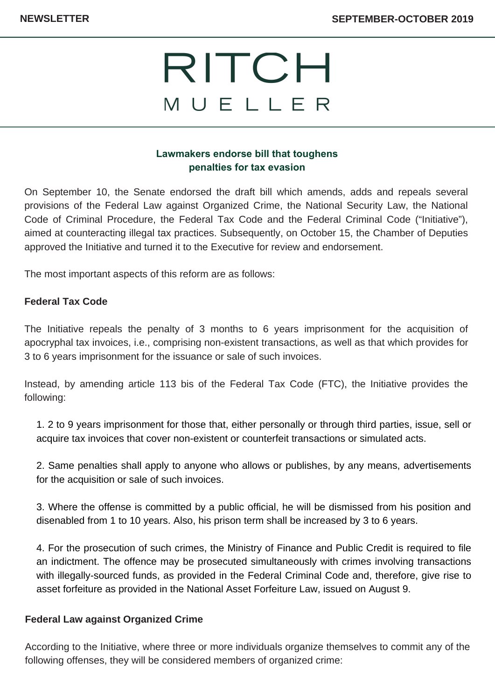# RITCH MUELLER

### **Lawmakers endorse bill that toughens penalties for tax evasion**

On September 10, the Senate endorsed the draft bill which amends, adds and repeals several provisions of the Federal Law against Organized Crime, the National Security Law, the National Code of Criminal Procedure, the Federal Tax Code and the Federal Criminal Code ("Initiative"), aimed at counteracting illegal tax practices. Subsequently, on October 15, the Chamber of Deputies approved the Initiative and turned it to the Executive for review and endorsement.

The most important aspects of this reform are as follows:

#### **Federal Tax Code**

The Initiative repeals the penalty of 3 months to 6 years imprisonment for the acquisition of apocryphal tax invoices, i.e., comprising non-existent transactions, as well as that which provides for 3 to 6 years imprisonment for the issuance or sale of such invoices.

Instead, by amending article 113 bis of the Federal Tax Code (FTC), the Initiative provides the following:

1. 2 to 9 years imprisonment for those that, either personally or through third parties, issue, sell or acquire tax invoices that cover non-existent or counterfeit transactions or simulated acts.

2. Same penalties shall apply to anyone who allows or publishes, by any means, advertisements for the acquisition or sale of such invoices.

3. Where the offense is committed by a public official, he will be dismissed from his position and disenabled from 1 to 10 years. Also, his prison term shall be increased by 3 to 6 years.

4. For the prosecution of such crimes, the Ministry of Finance and Public Credit is required to file an indictment. The offence may be prosecuted simultaneously with crimes involving transactions with illegally-sourced funds, as provided in the Federal Criminal Code and, therefore, give rise to asset forfeiture as provided in the National Asset Forfeiture Law, issued on August 9.

#### **Federal Law against Organized Crime**

According to the Initiative, where three or more individuals organize themselves to commit any of the following offenses, they will be considered members of organized crime: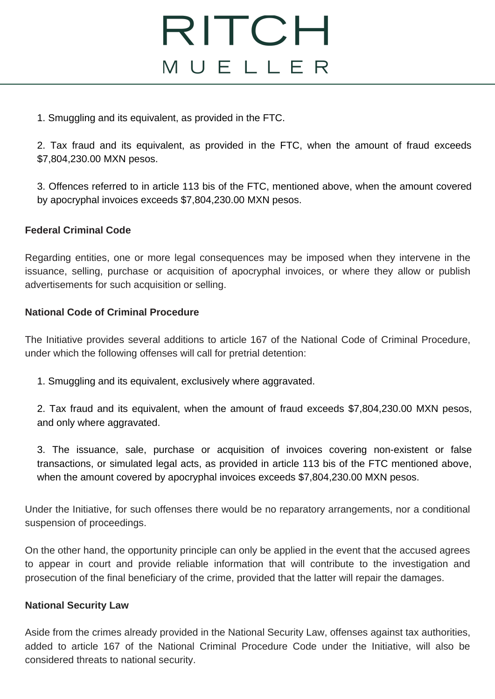## RITCH MUELLER

1. Smuggling and its equivalent, as provided in the FTC.

2. Tax fraud and its equivalent, as provided in the FTC, when the amount of fraud exceeds \$7,804,230.00 MXN pesos.

3. Offences referred to in article 113 bis of the FTC, mentioned above, when the amount covered by apocryphal invoices exceeds \$7,804,230.00 MXN pesos.

#### **Federal Criminal Code**

Regarding entities, one or more legal consequences may be imposed when they intervene in the issuance, selling, purchase or acquisition of apocryphal invoices, or where they allow or publish advertisements for such acquisition or selling.

### **National Code of Criminal Procedure**

The Initiative provides several additions to article 167 of the National Code of Criminal Procedure, under which the following offenses will call for pretrial detention:

1. Smuggling and its equivalent, exclusively where aggravated.

2. Tax fraud and its equivalent, when the amount of fraud exceeds \$7,804,230.00 MXN pesos, and only where aggravated.

3. The issuance, sale, purchase or acquisition of invoices covering non-existent or false transactions, or simulated legal acts, as provided in article 113 bis of the FTC mentioned above, when the amount covered by apocryphal invoices exceeds \$7,804,230.00 MXN pesos.

Under the Initiative, for such offenses there would be no reparatory arrangements, nor a conditional suspension of proceedings.

On the other hand, the opportunity principle can only be applied in the event that the accused agrees to appear in court and provide reliable information that will contribute to the investigation and prosecution of the final beneficiary of the crime, provided that the latter will repair the damages.

#### **National Security Law**

Aside from the crimes already provided in the National Security Law, offenses against tax authorities, added to article 167 of the National Criminal Procedure Code under the Initiative, will also be considered threats to national security.